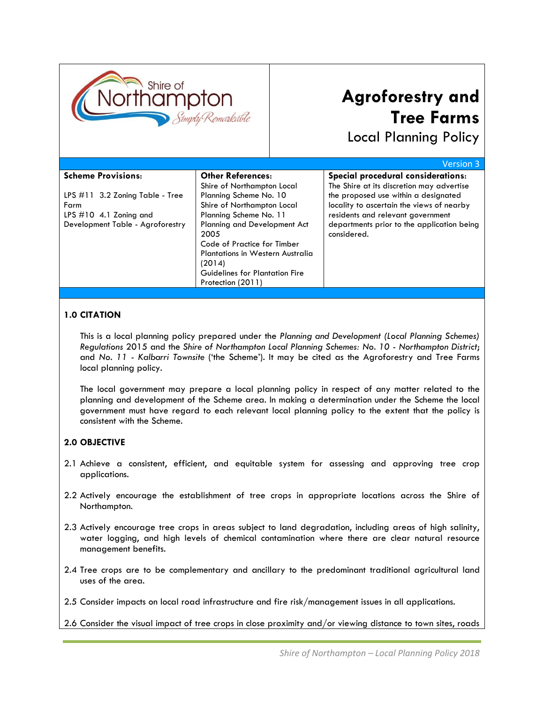

# **Agroforestry and Tree Farms**

Local Planning Policy

|                                    |                                       | <b>Version 3</b>                           |
|------------------------------------|---------------------------------------|--------------------------------------------|
| <b>Scheme Provisions:</b>          | <b>Other References:</b>              | Special procedural considerations:         |
|                                    | Shire of Northampton Local            | The Shire at its discretion may advertise  |
| LPS $\#11$ 3.2 Zoning Table - Tree | Planning Scheme No. 10                | the proposed use within a designated       |
| Farm                               | Shire of Northampton Local            | locality to ascertain the views of nearby  |
| LPS $\#10$ 4.1 Zoning and          | Planning Scheme No. 11                | residents and relevant government          |
| Development Table - Agroforestry   | Planning and Development Act          | departments prior to the application being |
|                                    | 2005                                  | considered.                                |
|                                    | Code of Practice for Timber           |                                            |
|                                    | Plantations in Western Australia      |                                            |
|                                    | (2014)                                |                                            |
|                                    | <b>Guidelines for Plantation Fire</b> |                                            |
|                                    | Protection (2011)                     |                                            |

### **1.0 CITATION**

This is a local planning policy prepared under the *Planning and Development (Local Planning Schemes) Regulations* 2015 and the *Shire of Northampton Local Planning Schemes: No. 10 - Northampton District*; and *No. 11 - Kalbarri Townsite* ('the Scheme'). It may be cited as the Agroforestry and Tree Farms local planning policy.

The local government may prepare a local planning policy in respect of any matter related to the planning and development of the Scheme area. In making a determination under the Scheme the local government must have regard to each relevant local planning policy to the extent that the policy is consistent with the Scheme.

### **2.0 OBJECTIVE**

- 2.1 Achieve a consistent, efficient, and equitable system for assessing and approving tree crop applications.
- 2.2 Actively encourage the establishment of tree crops in appropriate locations across the Shire of Northampton.
- 2.3 Actively encourage tree crops in areas subject to land degradation, including areas of high salinity, water logging, and high levels of chemical contamination where there are clear natural resource management benefits.
- 2.4 Tree crops are to be complementary and ancillary to the predominant traditional agricultural land uses of the area.
- 2.5 Consider impacts on local road infrastructure and fire risk/management issues in all applications.
- 2.6 Consider the visual impact of tree crops in close proximity and/or viewing distance to town sites, roads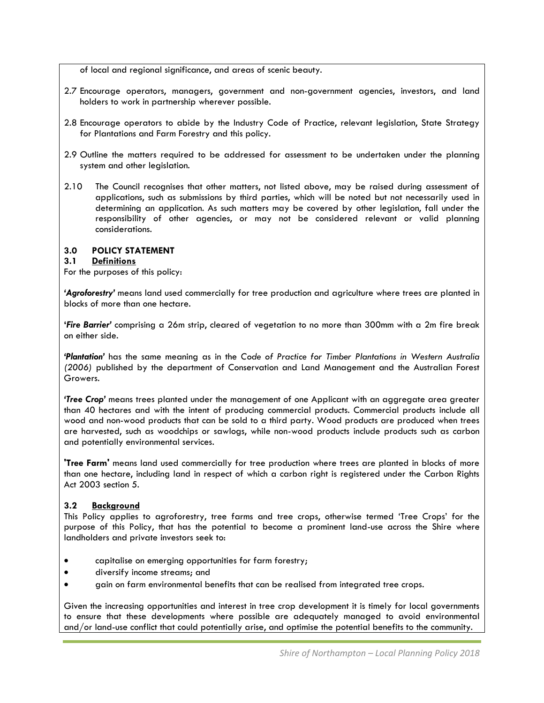of local and regional significance, and areas of scenic beauty.

- 2.7 Encourage operators, managers, government and non-government agencies, investors, and land holders to work in partnership wherever possible.
- 2.8 Encourage operators to abide by the Industry Code of Practice, relevant legislation, State Strategy for Plantations and Farm Forestry and this policy.
- 2.9 Outline the matters required to be addressed for assessment to be undertaken under the planning system and other legislation.
- 2.10 The Council recognises that other matters, not listed above, may be raised during assessment of applications, such as submissions by third parties, which will be noted but not necessarily used in determining an application. As such matters may be covered by other legislation, fall under the responsibility of other agencies, or may not be considered relevant or valid planning considerations.

## **3.0 POLICY STATEMENT**

## **3.1 Definitions**

For the purposes of this policy:

*'Agroforestry'* means land used commercially for tree production and agriculture where trees are planted in blocks of more than one hectare.

**'***Fire Barrier'* comprising a 26m strip, cleared of vegetation to no more than 300mm with a 2m fire break on either side.

*'Plantation'* has the same meaning as in the *Code of Practice for Timber Plantations in Western Australia (2006)* published by the department of Conservation and Land Management and the Australian Forest Growers.

*'Tree Crop'* means trees planted under the management of one Applicant with an aggregate area greater than 40 hectares and with the intent of producing commercial products. Commercial products include all wood and non-wood products that can be sold to a third party. Wood products are produced when trees are harvested, such as woodchips or sawlogs, while non-wood products include products such as carbon and potentially environmental services.

**'Tree Farm'** means land used commercially for tree production where trees are planted in blocks of more than one hectare, including land in respect of which a carbon right is registered under the Carbon Rights Act 2003 section 5.

### **3.2 Background**

This Policy applies to agroforestry, tree farms and tree crops, otherwise termed 'Tree Crops' for the purpose of this Policy, that has the potential to become a prominent land-use across the Shire where landholders and private investors seek to:

- capitalise on emerging opportunities for farm forestry;
- diversify income streams; and
- gain on farm environmental benefits that can be realised from integrated tree crops.

Given the increasing opportunities and interest in tree crop development it is timely for local governments to ensure that these developments where possible are adequately managed to avoid environmental and/or land-use conflict that could potentially arise, and optimise the potential benefits to the community.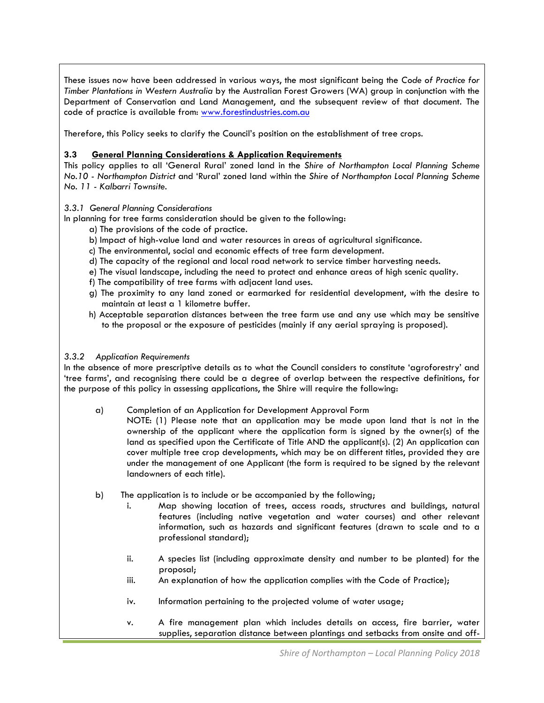These issues now have been addressed in various ways, the most significant being the *Code of Practice for Timber Plantations in Western Australia* by the Australian Forest Growers (WA) group in conjunction with the Department of Conservation and Land Management, and the subsequent review of that document. The code of practice is available from: [www.forestindustries.com.au](http://www.forestindustries.com.au/)

Therefore, this Policy seeks to clarify the Council's position on the establishment of tree crops.

## **3.3 General Planning Considerations & Application Requirements**

This policy applies to all 'General Rural' zoned land in the *Shire of Northampton Local Planning Scheme No.10 - Northampton District* and 'Rural' zoned land within the *Shire of Northampton Local Planning Scheme No. 11 - Kalbarri Townsite*.

### *3.3.1 General Planning Considerations*

In planning for tree farms consideration should be given to the following:

- a) The provisions of the code of practice.
- b) Impact of high-value land and water resources in areas of agricultural significance.
- c) The environmental, social and economic effects of tree farm development.
- d) The capacity of the regional and local road network to service timber harvesting needs.
- e) The visual landscape, including the need to protect and enhance areas of high scenic quality.
- f) The compatibility of tree farms with adjacent land uses.
- g) The proximity to any land zoned or earmarked for residential development, with the desire to maintain at least a 1 kilometre buffer.
- h) Acceptable separation distances between the tree farm use and any use which may be sensitive to the proposal or the exposure of pesticides (mainly if any aerial spraying is proposed).

### *3.3.2 Application Requirements*

In the absence of more prescriptive details as to what the Council considers to constitute 'agroforestry' and 'tree farms', and recognising there could be a degree of overlap between the respective definitions, for the purpose of this policy in assessing applications, the Shire will require the following:

- a) Completion of an Application for Development Approval Form
	- NOTE: (1) Please note that an application may be made upon land that is not in the ownership of the applicant where the application form is signed by the owner(s) of the land as specified upon the Certificate of Title AND the applicant(s). (2) An application can cover multiple tree crop developments, which may be on different titles, provided they are under the management of one Applicant (the form is required to be signed by the relevant landowners of each title).
- b) The application is to include or be accompanied by the following;
	- i. Map showing location of trees, access roads, structures and buildings, natural features (including native vegetation and water courses) and other relevant information, such as hazards and significant features (drawn to scale and to a professional standard);
	- ii. A species list (including approximate density and number to be planted) for the proposal;
	- iii. An explanation of how the application complies with the Code of Practice);
	- iv. Information pertaining to the projected volume of water usage;
	- v. A fire management plan which includes details on access, fire barrier, water supplies, separation distance between plantings and setbacks from onsite and off-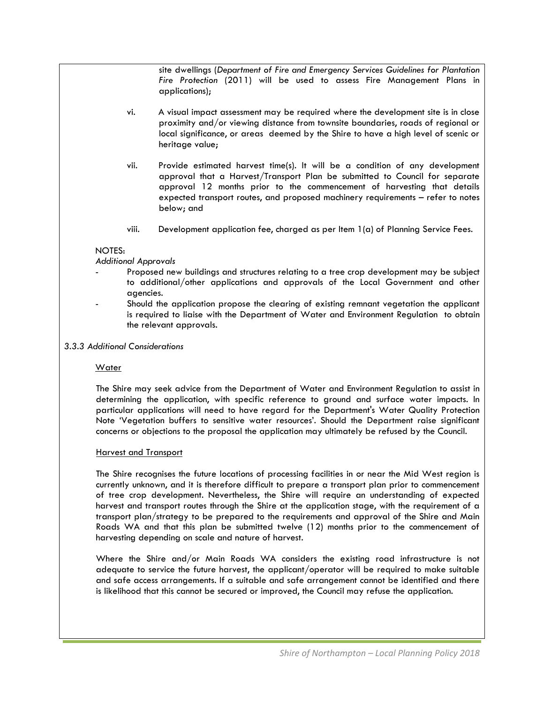site dwellings (*Department of Fire and Emergency Services Guidelines for Plantation Fire Protection* (2011) will be used to assess Fire Management Plans in applications);

- vi. A visual impact assessment may be required where the development site is in close proximity and/or viewing distance from townsite boundaries, roads of regional or local significance, or areas deemed by the Shire to have a high level of scenic or heritage value;
- vii. Provide estimated harvest time(s). It will be a condition of any development approval that a Harvest/Transport Plan be submitted to Council for separate approval 12 months prior to the commencement of harvesting that details expected transport routes, and proposed machinery requirements – refer to notes below; and
- viii. Development application fee, charged as per Item 1(a) of Planning Service Fees.

### NOTES:

*Additional Approvals* 

- Proposed new buildings and structures relating to a tree crop development may be subject to additional/other applications and approvals of the Local Government and other agencies.
- Should the application propose the clearing of existing remnant vegetation the applicant is required to liaise with the Department of Water and Environment Regulation to obtain the relevant approvals.
- *3.3.3 Additional Considerations*

### Water

The Shire may seek advice from the Department of Water and Environment Regulation to assist in determining the application, with specific reference to ground and surface water impacts. In particular applications will need to have regard for the Department's Water Quality Protection Note 'Vegetation buffers to sensitive water resources'. Should the Department raise significant concerns or objections to the proposal the application may ultimately be refused by the Council.

### Harvest and Transport

The Shire recognises the future locations of processing facilities in or near the Mid West region is currently unknown, and it is therefore difficult to prepare a transport plan prior to commencement of tree crop development. Nevertheless, the Shire will require an understanding of expected harvest and transport routes through the Shire at the application stage, with the requirement of a transport plan/strategy to be prepared to the requirements and approval of the Shire and Main Roads WA and that this plan be submitted twelve (12) months prior to the commencement of harvesting depending on scale and nature of harvest.

Where the Shire and/or Main Roads WA considers the existing road infrastructure is not adequate to service the future harvest, the applicant/operator will be required to make suitable and safe access arrangements. If a suitable and safe arrangement cannot be identified and there is likelihood that this cannot be secured or improved, the Council may refuse the application.